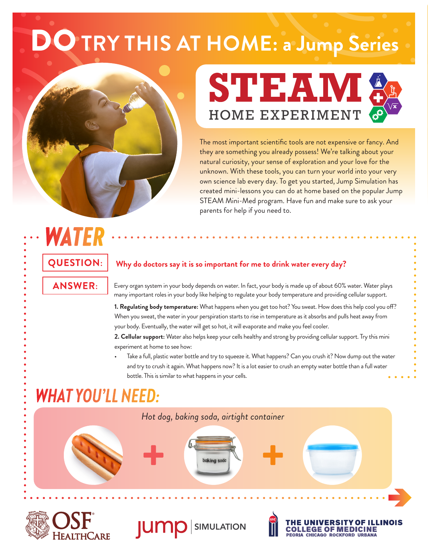# **D TRY THIS AT HOME: a Jump Series**





The most important scientific tools are not expensive or fancy. And they are something you already possess! We're talking about your natural curiosity, your sense of exploration and your love for the unknown. With these tools, you can turn your world into your very own science lab every day. To get you started, Jump Simulation has created mini-lessons you can do at home based on the popular Jump STEAM Mini-Med program. Have fun and make sure to ask your parents for help if you need to.

## *WATER* **QUESTION: ANSWER:**

#### **Why do doctors say it is so important for me to drink water every day?**

Every organ system in your body depends on water. In fact, your body is made up of about 60% water. Water plays many important roles in your body like helping to regulate your body temperature and providing cellular support.

**1. Regulating body temperature:** What happens when you get too hot? You sweat. How does this help cool you off? When you sweat, the water in your perspiration starts to rise in temperature as it absorbs and pulls heat away from your body. Eventually, the water will get so hot, it will evaporate and make you feel cooler.

**2. Cellular support:** Water also helps keep your cells healthy and strong by providing cellular support. Try this mini experiment at home to see how:

• Take a full, plastic water bottle and try to squeeze it. What happens? Can you crush it? Now dump out the water and try to crush it again. What happens now? It is a lot easier to crush an empty water bottle than a full water bottle. This is similar to what happens in your cells.

## *WHAT YOU'LL NEED:*









**EGE OF MEDICINE** CHICAGO POCKEOPD UPRAN